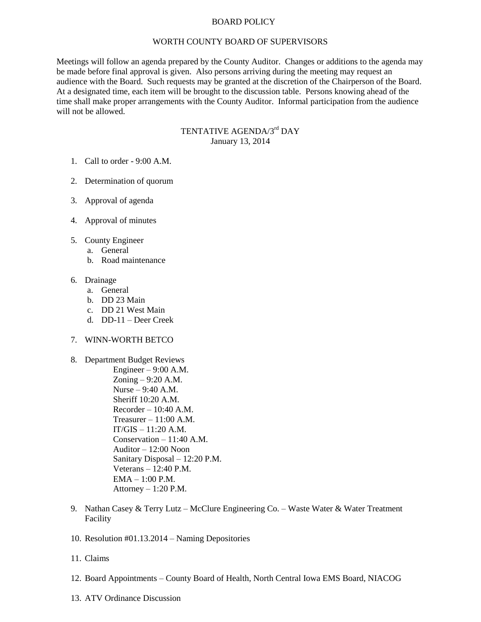## BOARD POLICY

#### WORTH COUNTY BOARD OF SUPERVISORS

Meetings will follow an agenda prepared by the County Auditor. Changes or additions to the agenda may be made before final approval is given. Also persons arriving during the meeting may request an audience with the Board. Such requests may be granted at the discretion of the Chairperson of the Board. At a designated time, each item will be brought to the discussion table. Persons knowing ahead of the time shall make proper arrangements with the County Auditor. Informal participation from the audience will not be allowed.

# TENTATIVE AGENDA/3<sup>rd</sup> DAY January 13, 2014

- 1. Call to order 9:00 A.M.
- 2. Determination of quorum
- 3. Approval of agenda
- 4. Approval of minutes
- 5. County Engineer
	- a. General
	- b. Road maintenance

## 6. Drainage

- a. General
- b. DD 23 Main
- c. DD 21 West Main
- d. DD-11 Deer Creek

### 7. WINN-WORTH BETCO

- 8. Department Budget Reviews Engineer –  $9:00$  A.M. Zoning – 9:20 A.M. Nurse – 9:40 A.M. Sheriff 10:20 A.M.  $Recorder - 10:40 A.M.$ Treasurer – 11:00 A.M.  $IT/GIS - 11:20 A.M.$ Conservation – 11:40 A.M. Auditor – 12:00 Noon Sanitary Disposal – 12:20 P.M. Veterans – 12:40 P.M. EMA – 1:00 P.M. Attorney  $-1:20$  P.M.
- 9. Nathan Casey & Terry Lutz McClure Engineering Co. Waste Water & Water Treatment Facility
- 10. Resolution #01.13.2014 Naming Depositories
- 11. Claims
- 12. Board Appointments County Board of Health, North Central Iowa EMS Board, NIACOG
- 13. ATV Ordinance Discussion